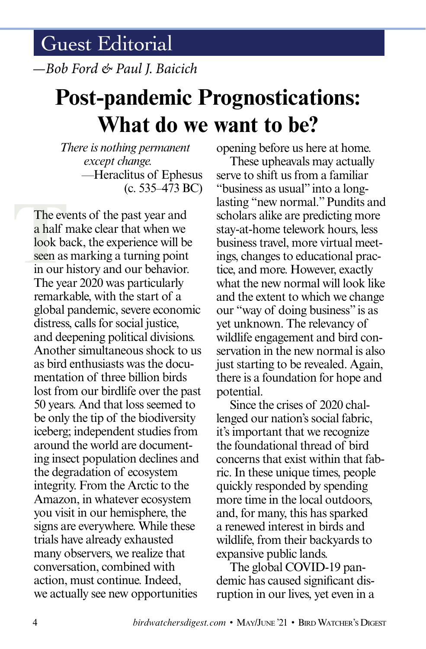*—Bob Ford & Paul J. Baicich*

## **Post-pandemic Prognostications: What do we want to be?**

*There is nothing permanent except change.* —Heraclitus of Ephesus (c. 535–473 BC)

The even a half r<br>look base mas<br>seen as<br>in our l The events of the past year and a half make clear that when we look back, the experience will be seen as marking a turning point in our history and our behavior. The year 2020 was particularly remarkable, with the start of a global pandemic, severe economic distress, calls for social justice, and deepening political divisions. Another simultaneous shock to us as bird enthusiasts was the documentation of three billion birds lost from our birdlife over the past 50 years. And that loss seemed to be only the tip of the biodiversity iceberg; independent studies from around the world are documenting insect population declines and the degradation of ecosystem integrity. From the Arctic to the Amazon, in whatever ecosystem you visit in our hemisphere, the signs are everywhere. While these trials have already exhausted many observers, we realize that conversation, combined with action, must continue. Indeed, we actually see new opportunities

opening before us here at home.

These upheavals may actually serve to shift us from a familiar "business as usual" into a longlasting "new normal." Pundits and scholars alike are predicting more stay-at-home telework hours, less business travel, more virtual meetings, changes to educational practice, and more. However, exactly what the new normal will look like and the extent to which we change our "way of doing business" is as yet unknown. The relevancy of wildlife engagement and bird conservation in the new normal is also just starting to be revealed. Again, there is a foundation for hope and potential.

Since the crises of 2020 challenged our nation's social fabric, it's important that we recognize the foundational thread of bird concerns that exist within that fabric. In these unique times, people quickly responded by spending more time in the local outdoors, and, for many, this has sparked a renewed interest in birds and wildlife, from their backyards to expansive public lands.

The global COVID-19 pandemic has caused significant disruption in our lives, yet even in a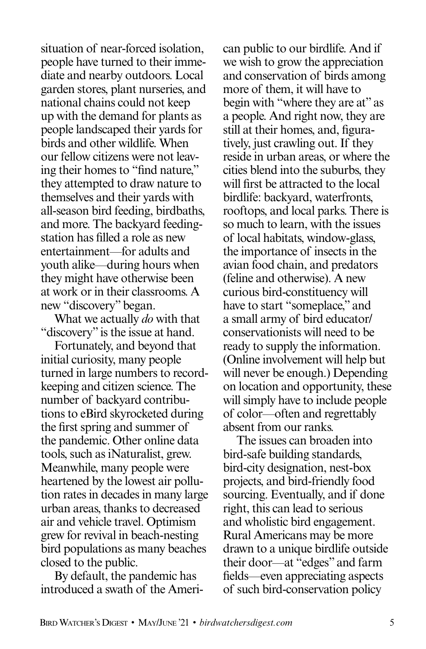situation of near-forced isolation, people have turned to their immediate and nearby outdoors. Local garden stores, plant nurseries, and national chains could not keep up with the demand for plants as people landscaped their yards for birds and other wildlife. When our fellow citizens were not leaving their homes to "find nature," they attempted to draw nature to themselves and their yards with all-season bird feeding, birdbaths, and more. The backyard feedingstation has filled a role as new entertainment—for adults and youth alike—during hours when they might have otherwise been at work or in their classrooms. A new "discovery" began.

What we actually *do* with that "discovery" is the issue at hand.

Fortunately, and beyond that initial curiosity, many people turned in large numbers to recordkeeping and citizen science. The number of backyard contributions to eBird skyrocketed during the first spring and summer of the pandemic. Other online data tools, such as iNaturalist, grew. Meanwhile, many people were heartened by the lowest air pollution rates in decades in many large urban areas, thanks to decreased air and vehicle travel. Optimism grew for revival in beach-nesting bird populations as many beaches closed to the public.

By default, the pandemic has introduced a swath of the Ameri-

can public to our birdlife. And if we wish to grow the appreciation and conservation of birds among more of them, it will have to begin with "where they are at" as a people. And right now, they are still at their homes, and, figuratively, just crawling out. If they reside in urban areas, or where the cities blend into the suburbs, they will first be attracted to the local birdlife: backyard, waterfronts, rooftops, and local parks. There is so much to learn, with the issues of local habitats, window-glass, the importance of insects in the avian food chain, and predators (feline and otherwise). A new curious bird-constituency will have to start "someplace," and a small army of bird educator/ conservationists will need to be ready to supply the information. (Online involvement will help but will never be enough.) Depending on location and opportunity, these will simply have to include people of color—often and regrettably absent from our ranks.

The issues can broaden into bird-safe building standards, bird-city designation, nest-box projects, and bird-friendly food sourcing. Eventually, and if done right, this can lead to serious and wholistic bird engagement. Rural Americans may be more drawn to a unique birdlife outside their door—at "edges" and farm fields—even appreciating aspects of such bird-conservation policy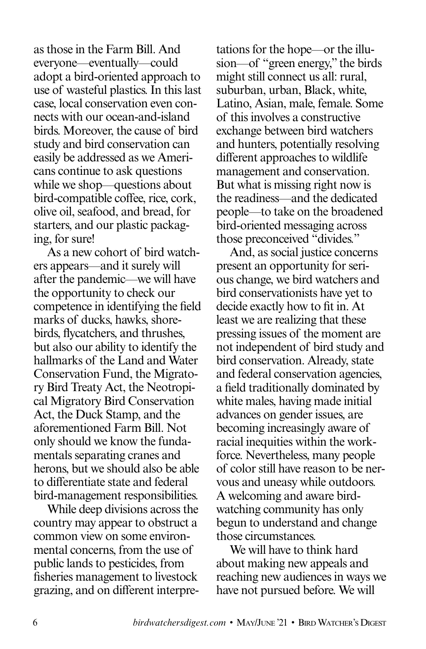as those in the Farm Bill. And everyone—eventually—could adopt a bird-oriented approach to use of wasteful plastics. In this last case, local conservation even connects with our ocean-and-island birds. Moreover, the cause of bird study and bird conservation can easily be addressed as we Americans continue to ask questions while we shop—questions about bird-compatible coffee, rice, cork, olive oil, seafood, and bread, for starters, and our plastic packaging, for sure!

As a new cohort of bird watchers appears—and it surely will after the pandemic—we will have the opportunity to check our competence in identifying the field marks of ducks, hawks, shorebirds, flycatchers, and thrushes, but also our ability to identify the hallmarks of the Land and Water Conservation Fund, the Migratory Bird Treaty Act, the Neotropical Migratory Bird Conservation Act, the Duck Stamp, and the aforementioned Farm Bill. Not only should we know the fundamentals separating cranes and herons, but we should also be able to differentiate state and federal bird-management responsibilities.

While deep divisions across the country may appear to obstruct a common view on some environmental concerns, from the use of public lands to pesticides, from fisheries management to livestock grazing, and on different interpretations for the hope—or the illusion—of "green energy," the birds might still connect us all: rural, suburban, urban, Black, white, Latino, Asian, male, female. Some of this involves a constructive exchange between bird watchers and hunters, potentially resolving different approaches to wildlife management and conservation. But what is missing right now is the readiness—and the dedicated people—to take on the broadened bird-oriented messaging across those preconceived "divides."

And, as social justice concerns present an opportunity for serious change, we bird watchers and bird conservationists have yet to decide exactly how to fit in. At least we are realizing that these pressing issues of the moment are not independent of bird study and bird conservation. Already, state and federal conservation agencies, a field traditionally dominated by white males, having made initial advances on gender issues, are becoming increasingly aware of racial inequities within the workforce. Nevertheless, many people of color still have reason to be nervous and uneasy while outdoors. A welcoming and aware birdwatching community has only begun to understand and change those circumstances.

We will have to think hard about making new appeals and reaching new audiences in ways we have not pursued before. We will